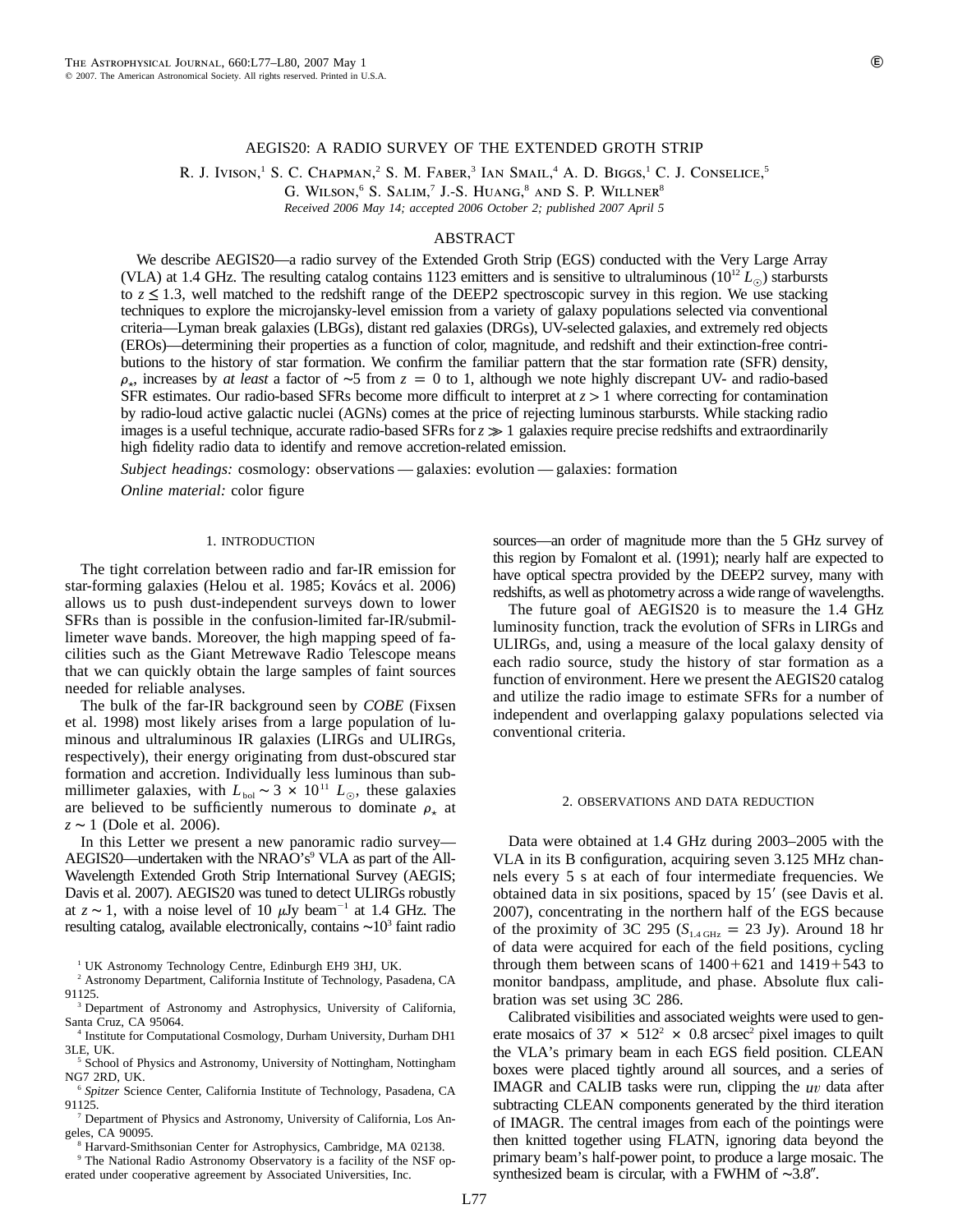## AEGIS20: A RADIO SURVEY OF THE EXTENDED GROTH STRIP

R. J. Ivison,<sup>1</sup> S. C. Chapman,<sup>2</sup> S. M. Faber,<sup>3</sup> Ian Smail,<sup>4</sup> A. D. Biggs,<sup>1</sup> C. J. Conselice,<sup>5</sup>

G. WILSON,<sup>6</sup> S. SALIM,<sup>7</sup> J.-S. HUANG,<sup>8</sup> AND S. P. WILLNER<sup>8</sup>

*Received 2006 May 14; accepted 2006 October 2; published 2007 April 5*

# ABSTRACT

We describe AEGIS20—a radio survey of the Extended Groth Strip (EGS) conducted with the Very Large Array (VLA) at 1.4 GHz. The resulting catalog contains 1123 emitters and is sensitive to ultraluminous ( $10^{12} L_{\odot}$ ) starbursts to  $z \le 1.3$ , well matched to the redshift range of the DEEP2 spectroscopic survey in this region. We use stacking techniques to explore the microjansky-level emission from a variety of galaxy populations selected via conventional criteria—Lyman break galaxies (LBGs), distant red galaxies (DRGs), UV-selected galaxies, and extremely red objects (EROs)—determining their properties as a function of color, magnitude, and redshift and their extinction-free contributions to the history of star formation. We confirm the familiar pattern that the star formation rate (SFR) density,  $\rho_r$ , increases by *at least* a factor of ∼5 from  $z = 0$  to 1, although we note highly discrepant UV- and radio-based SFR estimates. Our radio-based SFRs become more difficult to interpret at  $z > 1$  where correcting for contamination by radio-loud active galactic nuclei (AGNs) comes at the price of rejecting luminous starbursts. While stacking radio images is a useful technique, accurate radio-based SFRs for  $z \gg 1$  galaxies require precise redshifts and extraordinarily high fidelity radio data to identify and remove accretion-related emission.

*Subject headings:* cosmology: observations — galaxies: evolution — galaxies: formation

*Online material:* color figure

#### 1. INTRODUCTION

The tight correlation between radio and far-IR emission for star-forming galaxies (Helou et al. 1985; Kovács et al. 2006) allows us to push dust-independent surveys down to lower SFRs than is possible in the confusion-limited far-IR/submillimeter wave bands. Moreover, the high mapping speed of facilities such as the Giant Metrewave Radio Telescope means that we can quickly obtain the large samples of faint sources needed for reliable analyses.

The bulk of the far-IR background seen by *COBE* (Fixsen et al. 1998) most likely arises from a large population of luminous and ultraluminous IR galaxies (LIRGs and ULIRGs, respectively), their energy originating from dust-obscured star formation and accretion. Individually less luminous than submillimeter galaxies, with  $L_{bol}$  ∼ 3 × 10<sup>11</sup>  $L_{\odot}$ , these galaxies are believed to be sufficiently numerous to dominate  $\rho_{\star}$  at *z* ∼ 1 (Dole et al. 2006).

In this Letter we present a new panoramic radio survey— AEGIS20—undertaken with the NRAO's $9$  VLA as part of the All-Wavelength Extended Groth Strip International Survey (AEGIS; Davis et al. 2007). AEGIS20 was tuned to detect ULIRGs robustly at  $z \sim 1$ , with a noise level of 10  $\mu$ Jy beam<sup>-1</sup> at 1.4 GHz. The resulting catalog, available electronically, contains  $\sim 10^3$  faint radio

<sup>1</sup> UK Astronomy Technology Centre, Edinburgh EH9 3HJ, UK.

<sup>2</sup> Astronomy Department, California Institute of Technology, Pasadena, CA 91125.

<sup>3</sup> Department of Astronomy and Astrophysics, University of California, Santa Cruz, CA 95064.

<sup>4</sup> Institute for Computational Cosmology, Durham University, Durham DH1 3LE, UK.

<sup>5</sup> School of Physics and Astronomy, University of Nottingham, Nottingham NG7 2RD, UK.

<sup>6</sup> *Spitzer* Science Center, California Institute of Technology, Pasadena, CA 91125.

<sup>7</sup> Department of Physics and Astronomy, University of California, Los Angeles, CA 90095.

<sup>8</sup> Harvard-Smithsonian Center for Astrophysics, Cambridge, MA 02138.

<sup>9</sup> The National Radio Astronomy Observatory is a facility of the NSF operated under cooperative agreement by Associated Universities, Inc.

sources—an order of magnitude more than the 5 GHz survey of this region by Fomalont et al. (1991); nearly half are expected to have optical spectra provided by the DEEP2 survey, many with redshifts, as well as photometry across a wide range of wavelengths.

The future goal of AEGIS20 is to measure the 1.4 GHz luminosity function, track the evolution of SFRs in LIRGs and ULIRGs, and, using a measure of the local galaxy density of each radio source, study the history of star formation as a function of environment. Here we present the AEGIS20 catalog and utilize the radio image to estimate SFRs for a number of independent and overlapping galaxy populations selected via conventional criteria.

#### 2. OBSERVATIONS AND DATA REDUCTION

Data were obtained at 1.4 GHz during 2003–2005 with the VLA in its B configuration, acquiring seven 3.125 MHz channels every 5 s at each of four intermediate frequencies. We obtained data in six positions, spaced by 15' (see Davis et al. 2007), concentrating in the northern half of the EGS because of the proximity of 3C 295 ( $S<sub>1.4 GHz</sub> = 23$  Jy). Around 18 hr of data were acquired for each of the field positions, cycling through them between scans of  $1400+621$  and  $1419+543$  to monitor bandpass, amplitude, and phase. Absolute flux calibration was set using 3C 286.

Calibrated visibilities and associated weights were used to generate mosaics of 37  $\times$  512<sup>2</sup>  $\times$  0.8 arcsec<sup>2</sup> pixel images to quilt the VLA's primary beam in each EGS field position. CLEAN boxes were placed tightly around all sources, and a series of IMAGR and CALIB tasks were run, clipping the uv data after subtracting CLEAN components generated by the third iteration of IMAGR. The central images from each of the pointings were then knitted together using FLATN, ignoring data beyond the primary beam's half-power point, to produce a large mosaic. The synthesized beam is circular, with a FWHM of  $~\sim 3.8''$ .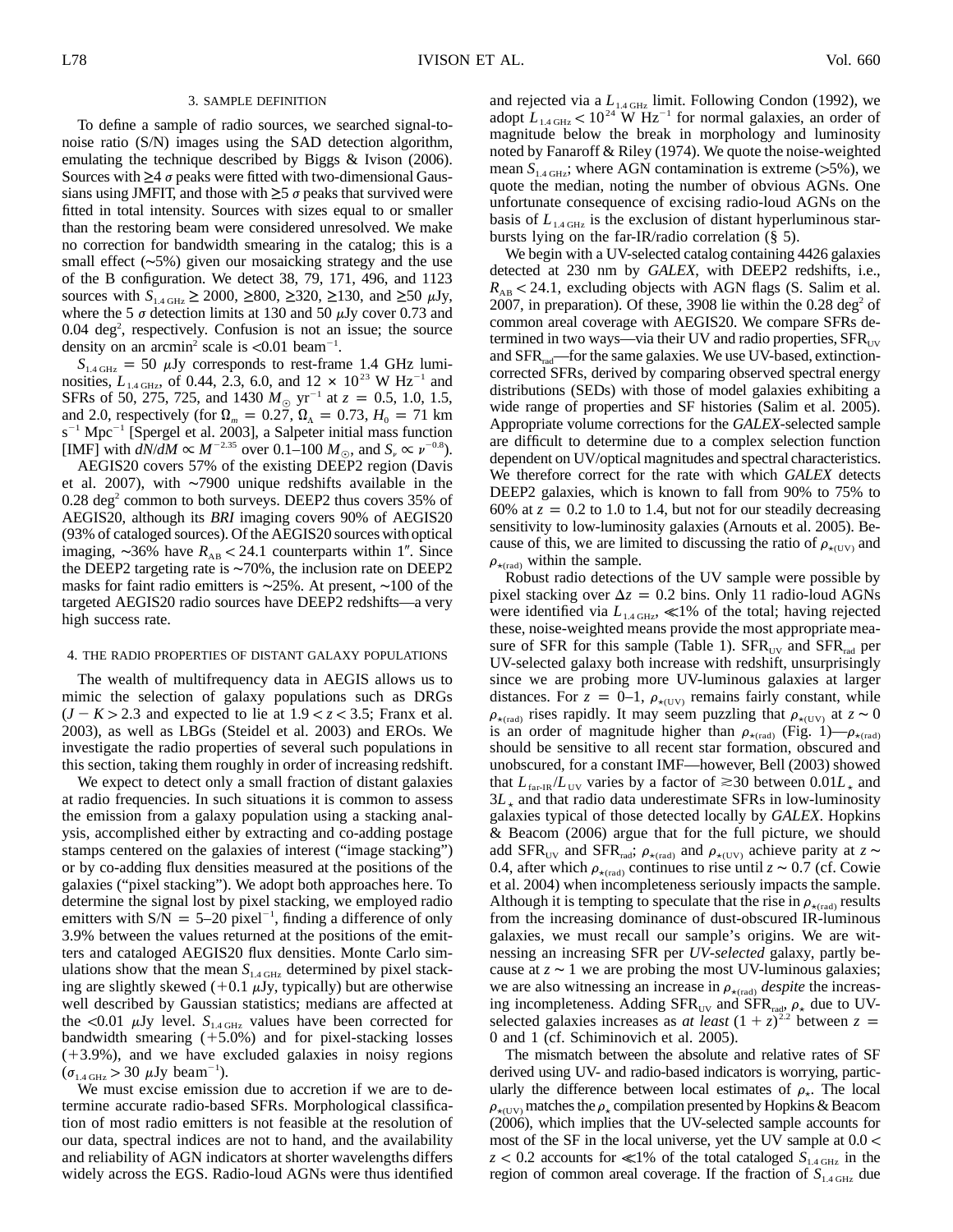#### 3. SAMPLE DEFINITION

To define a sample of radio sources, we searched signal-tonoise ratio (S/N) images using the SAD detection algorithm, emulating the technique described by Biggs & Ivison (2006). Sources with  $\geq 4$   $\sigma$  peaks were fitted with two-dimensional Gaussians using JMFIT, and those with  $\geq$ 5  $\sigma$  peaks that survived were fitted in total intensity. Sources with sizes equal to or smaller than the restoring beam were considered unresolved. We make no correction for bandwidth smearing in the catalog; this is a small effect (∼5%) given our mosaicking strategy and the use of the B configuration. We detect 38, 79, 171, 496, and 1123 sources with  $S_{1.4 \text{ GHz}} \ge 2000$ ,  $\ge 800$ ,  $\ge 320$ ,  $\ge 130$ , and  $\ge 50 \text{ }\mu\text{Jy}$ , where the 5  $\sigma$  detection limits at 130 and 50  $\mu$ Jy cover 0.73 and 0.04 deg<sup>2</sup>, respectively. Confusion is not an issue; the source density on an arcmin<sup>2</sup> scale is  $\langle 0.01 \text{ beam}^{-1}$ .

 $S<sub>1.4 GHz</sub> = 50 \mu Jy corresponds to rest-frame 1.4 GHz lumin$ nosities,  $L_{1.4 \text{ GHz}}$ , of 0.44, 2.3, 6.0, and 12  $\times$  10<sup>23</sup> W Hz<sup>-1</sup> and SFRs of 50, 275, 725, and 1430  $M_{\odot}$  yr<sup>-1</sup> at  $z = 0.5$ , 1.0, 1.5, and 2.0, respectively (for  $\Omega_m = 0.27$ ,  $\Omega_{\Lambda} = 0.73$ ,  $H_0 = 71$  km  $s^{-1}$  Mpc<sup>-1</sup> [Spergel et al. 2003], a Salpeter initial mass function [IMF] with  $dN/dM \propto M^{-2.35}$  over 0.1–100  $M_{\odot}$ , and  $S_n \propto \nu^{-0.8}$ ).

AEGIS20 covers 57% of the existing DEEP2 region (Davis et al. 2007), with ∼7900 unique redshifts available in the  $0.28 \text{ deg}^2$  common to both surveys. DEEP2 thus covers 35% of AEGIS20, although its *BRI* imaging covers 90% of AEGIS20 (93% of cataloged sources). Of the AEGIS20 sources with optical imaging,  $\sim$ 36% have  $R_{AB}$  < 24.1 counterparts within 1". Since the DEEP2 targeting rate is ∼70%, the inclusion rate on DEEP2 masks for faint radio emitters is ∼25%. At present, ∼100 of the targeted AEGIS20 radio sources have DEEP2 redshifts—a very high success rate.

### 4. THE RADIO PROPERTIES OF DISTANT GALAXY POPULATIONS

The wealth of multifrequency data in AEGIS allows us to mimic the selection of galaxy populations such as DRGs  $(J - K > 2.3$  and expected to lie at  $1.9 < z < 3.5$ ; Franx et al. 2003), as well as LBGs (Steidel et al. 2003) and EROs. We investigate the radio properties of several such populations in this section, taking them roughly in order of increasing redshift.

We expect to detect only a small fraction of distant galaxies at radio frequencies. In such situations it is common to assess the emission from a galaxy population using a stacking analysis, accomplished either by extracting and co-adding postage stamps centered on the galaxies of interest ("image stacking") or by co-adding flux densities measured at the positions of the galaxies ("pixel stacking"). We adopt both approaches here. To determine the signal lost by pixel stacking, we employed radio emitters with  $S/N = 5-20$  pixel<sup>-1</sup>, finding a difference of only 3.9% between the values returned at the positions of the emitters and cataloged AEGIS20 flux densities. Monte Carlo simulations show that the mean  $S<sub>1.4 \text{ GHz}}</sub>$  determined by pixel stacking are slightly skewed  $(+0.1 \mu Jy,$  typically) but are otherwise well described by Gaussian statistics; medians are affected at the  $\langle 0.01 \mu Jy$  level.  $S_{1.4 \text{ GHz}}$  values have been corrected for bandwidth smearing  $(+5.0\%)$  and for pixel-stacking losses  $(+3.9%)$ , and we have excluded galaxies in noisy regions  $(\sigma_{1.4 \text{ GHz}} > 30 \text{ \mu Jy beam}^{-1}).$ 

We must excise emission due to accretion if we are to determine accurate radio-based SFRs. Morphological classification of most radio emitters is not feasible at the resolution of our data, spectral indices are not to hand, and the availability and reliability of AGN indicators at shorter wavelengths differs widely across the EGS. Radio-loud AGNs were thus identified and rejected via a  $L_{1.4 \text{ GHz}}$  limit. Following Condon (1992), we adopt  $L_{1.4 \text{ GHz}} < 10^{24} \text{ W Hz}^{-1}$  for normal galaxies, an order of magnitude below the break in morphology and luminosity noted by Fanaroff & Riley (1974). We quote the noise-weighted mean  $S<sub>1.4 GHz</sub>$ ; where AGN contamination is extreme (>5%), we quote the median, noting the number of obvious AGNs. One unfortunate consequence of excising radio-loud AGNs on the basis of  $L_{1.4 \text{ GHz}}$  is the exclusion of distant hyperluminous starbursts lying on the far-IR/radio correlation (§ 5).

We begin with a UV-selected catalog containing 4426 galaxies detected at 230 nm by *GALEX*, with DEEP2 redshifts, i.e.,  $R_{AB}$  < 24.1, excluding objects with AGN flags (S. Salim et al. 2007, in preparation). Of these, 3908 lie within the  $0.28 \text{ deg}^2$  of common areal coverage with AEGIS20. We compare SFRs determined in two ways—via their UV and radio properties,  $SFR_{UV}$ and  $SFR_{rad}$ —for the same galaxies. We use UV-based, extinctioncorrected SFRs, derived by comparing observed spectral energy distributions (SEDs) with those of model galaxies exhibiting a wide range of properties and SF histories (Salim et al. 2005). Appropriate volume corrections for the *GALEX*-selected sample are difficult to determine due to a complex selection function dependent on UV/optical magnitudes and spectral characteristics. We therefore correct for the rate with which *GALEX* detects DEEP2 galaxies, which is known to fall from 90% to 75% to 60% at  $z = 0.2$  to 1.0 to 1.4, but not for our steadily decreasing sensitivity to low-luminosity galaxies (Arnouts et al. 2005). Because of this, we are limited to discussing the ratio of  $\rho_{\star(UV)}$  and  $\rho_{\star \text{(rad)}}$  within the sample.

Robust radio detections of the UV sample were possible by pixel stacking over  $\Delta z = 0.2$  bins. Only 11 radio-loud AGNs were identified via  $L_{1.4 \text{ GHz}} \ll 1\%$  of the total; having rejected these, noise-weighted means provide the most appropriate measure of SFR for this sample (Table 1).  $SFR_{UV}$  and  $SFR_{rad}$  per UV-selected galaxy both increase with redshift, unsurprisingly since we are probing more UV-luminous galaxies at larger distances. For  $z = 0-1$ ,  $\rho_{\star(UV)}$  remains fairly constant, while  $\rho_{\star (rad)}$  rises rapidly. It may seem puzzling that  $\rho_{\star (UV)}$  at  $z \sim 0$ is an order of magnitude higher than  $\rho_{\star \text{(rad)}}$  (Fig. 1)— $\rho_{\star \text{(rad)}}$ should be sensitive to all recent star formation, obscured and unobscured, for a constant IMF—however, Bell (2003) showed that  $L_{\text{far-R}}/L_{\text{UV}}$  varies by a factor of  $\approx$ 30 between  $0.01L_{\star}$  and  $3L_{\star}$  and that radio data underestimate SFRs in low-luminosity galaxies typical of those detected locally by *GALEX*. Hopkins & Beacom (2006) argue that for the full picture, we should add SFR<sub>UV</sub> and SFR<sub>rad</sub>;  $\rho_{\star \text{(rad)}}$  and  $\rho_{\star \text{(UV)}}$  achieve parity at  $z \sim$ 0.4, after which  $\rho_{\star, \text{rad}}$  continues to rise until  $z \sim 0.7$  (cf. Cowie et al. 2004) when incompleteness seriously impacts the sample. Although it is tempting to speculate that the rise in  $\rho_{\star(rad)}$  results from the increasing dominance of dust-obscured IR-luminous galaxies, we must recall our sample's origins. We are witnessing an increasing SFR per *UV-selected* galaxy, partly because at  $z \sim 1$  we are probing the most UV-luminous galaxies; we are also witnessing an increase in  $\rho_{\star \text{(rad)}}$  *despite* the increasing incompleteness. Adding  $SFR_{UV}$  and  $SFR_{rad}$ ,  $\rho_{\star}$  due to UVselected galaxies increases as *at least*  $(1 + z)^{2.2}$  between  $z =$ 0 and 1 (cf. Schiminovich et al. 2005).

The mismatch between the absolute and relative rates of SF derived using UV- and radio-based indicators is worrying, particularly the difference between local estimates of  $\rho_{\star}$ . The local  $\rho_{\star (UV)}$  matches the  $\rho_{\star}$  compilation presented by Hopkins & Beacom (2006), which implies that the UV-selected sample accounts for most of the SF in the local universe, yet the UV sample at  $0.0 <$  $z < 0.2$  accounts for  $\ll 1\%$  of the total cataloged  $S<sub>1.4 \text{ GHz}}</sub>$  in the region of common areal coverage. If the fraction of  $S<sub>1.4 \text{ GHz}}</sub>$  due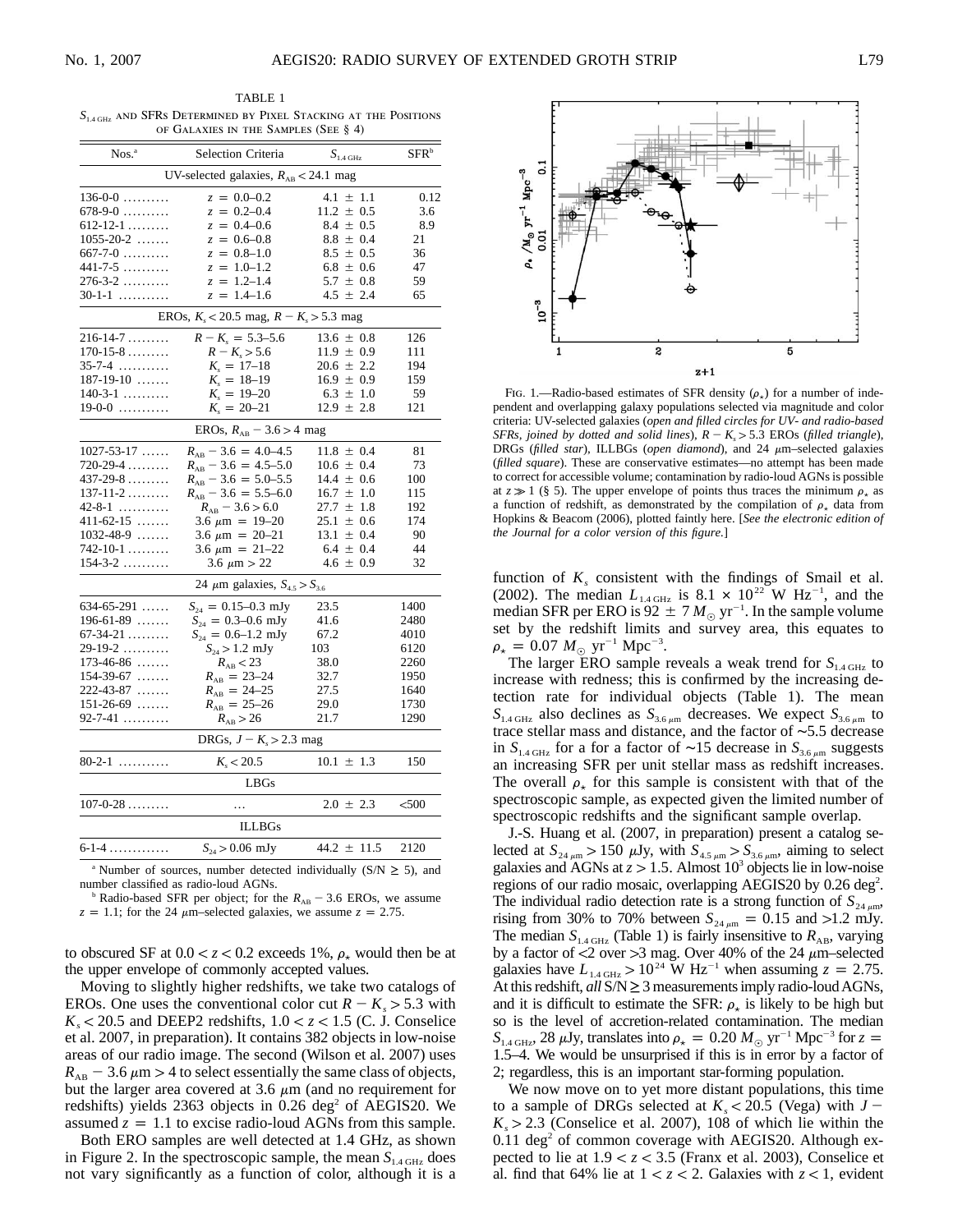TABLE 1  $S<sub>1.4 GHz</sub>$  and SFRs Determined by Pixel Stacking at the Positions of Galaxies in the Samples (See § 4)

| Nos. <sup>a</sup>          | Selection Criteria                          | $S_{\rm 1.4~GHz}$ | SFR <sup>b</sup> |
|----------------------------|---------------------------------------------|-------------------|------------------|
|                            | UV-selected galaxies, $R_{AB}$ < 24.1 mag   |                   |                  |
| $136-0-0$                  | $z = 0.0 - 0.2$                             | $4.1 \pm 1.1$     | 0.12             |
| $678-9-0$                  | $z = 0.2 - 0.4$                             | $11.2 \pm 0.5$    | 3.6              |
| $612 - 12 - 1$             | $z = 0.4 - 0.6$                             | $8.4 \pm 0.5$     | 8.9              |
| $1055 - 20 - 2$            | $z = 0.6 - 0.8$                             | $8.8 \pm 0.4$     | 21               |
| $667 - 7 - 0$              | $z = 0.8 - 1.0$                             | $8.5 \pm 0.5$     | 36               |
| $441 - 7 - 5$              | $z = 1.0 - 1.2$                             | $6.8 \pm 0.6$     | 47               |
| $276 - 3 - 2$              | $z = 1.2 - 1.4$                             | $5.7 \pm 0.8$     | 59               |
| 30-1-1                     | $z = 1.4 - 1.6$                             | $4.5 \pm 2.4$     | 65               |
|                            | EROs, $K_s$ < 20.5 mag, $R - K_s$ > 5.3 mag |                   |                  |
| $216 - 14 - 7 \dots$       | $R - K_s = 5.3 - 5.6$                       | $13.6 \pm 0.8$    | 126              |
| $170 - 15 - 8 \dots$       | $R - K_s > 5.6$                             | $11.9 \pm 0.9$    | 111              |
| $35 - 7 - 4$               | $K_s = 17 - 18$                             | $20.6 \pm 2.2$    | 194              |
| $187-19-10$                | $K_s = 18 - 19$                             | $16.9 \pm 0.9$    | 159              |
| $140-3-1$                  | $K_s = 19 - 20$                             | $6.3 \pm 1.0$     | 59               |
| $19-0-0$                   | $K_s = 20 - 21$                             | $12.9 \pm 2.8$    | 121              |
|                            | EROs, $R_{AB}$ – 3.6 > 4 mag                |                   |                  |
| $1027 - 53 - 17$           | $R_{AB}$ – 3.6 = 4.0–4.5                    | $11.8 \pm 0.4$    | 81               |
| 720-29-4                   | $R_{AB}$ – 3.6 = 4.5–5.0                    | $10.6 \pm 0.4$    | 73               |
| $437 - 29 - 8 \dots \dots$ | $R_{AB}$ – 3.6 = 5.0–5.5                    | $14.4 \pm 0.6$    | 100              |
| $137 - 11 - 2$             | $R_{AB}$ – 3.6 = 5.5–6.0                    | $16.7 \pm 1.0$    | 115              |
| $42 - 8 - 1$               | $R_{AB}$ – 3.6 > 6.0                        | $\pm$ 1.8<br>27.7 | 192              |
| $411 - 62 - 15$            | $3.6 \mu m = 19 - 20$                       | $25.1 \pm 0.6$    | 174              |
| $1032 - 48 - 9$            | $3.6 \mu m = 20 - 21$                       | $13.1 \pm 0.4$    | 90               |
| $742 - 10 - 1$             | $3.6 \mu m = 21 - 22$                       | $6.4 \pm 0.4$     | 44               |
| $154 - 3 - 2$              | 3.6 $\mu$ m > 22                            | $4.6 \pm 0.9$     | 32               |
|                            | 24 $\mu$ m galaxies, $S_{4.5} > S_{3.6}$    |                   |                  |
| $634-65-291$               | $S_{24} = 0.15{\text -}0.3$ mJy             | 23.5              | 1400             |
| $196-61-89$                | $S_{24} = 0.3{\text -}0.6$ mJy              | 41.6              | 2480             |
| $67 - 34 - 21$             | $S_{24} = 0.6 - 1.2$ mJy                    | 67.2              | 4010             |
| $29-19-2$                  | $S_{24} > 1.2$ mJy                          | 103               | 6120             |
| $173 - 46 - 86$            | $R_{AB}$ < 23                               | 38.0              | 2260             |
| $154 - 39 - 67$            | $R_{AB} = 23 - 24$                          | 32.7              | 1950             |
| 222-43-87                  | $R_{AB} = 24 - 25$                          | 27.5              | 1640             |
| $151-26-69$                | $R_{AB} = 25 - 26$                          | 29.0              | 1730             |
| $92 - 7 - 41$              | $R_{AB} > 26$                               | 21.7              | 1290             |
|                            | DRGs, $J - K_s > 2.3$ mag                   |                   |                  |
| $80-2-1$                   | $K_{s}$ < 20.5                              | $10.1 \pm 1.3$    | 150              |
|                            | LBGs                                        |                   |                  |
| $107 - 0 - 28$             | .                                           | $2.0 \pm 2.3$     | $500$            |
|                            | <b>ILLBGs</b>                               |                   |                  |
| $6 - 1 - 4$                | $S_{24} > 0.06$ mJy                         | $44.2 \pm 11.5$   | 2120             |
|                            |                                             |                   |                  |

<sup>a</sup> Number of sources, number detected individually (S/N  $\geq$  5), and number classified as radio-loud AGNs.

Radio-based SFR per object; for the  $R_{AB}$  – 3.6 EROs, we assume  $z = 1.1$ ; for the 24  $\mu$ m–selected galaxies, we assume  $z = 2.75$ .

to obscured SF at  $0.0 < z < 0.2$  exceeds 1%,  $\rho_{\star}$  would then be at the upper envelope of commonly accepted values.

Moving to slightly higher redshifts, we take two catalogs of EROs. One uses the conventional color cut  $R - K_s > 5.3$  with  $K_s$  < 20.5 and DEEP2 redshifts,  $1.0 < z < 1.5$  (C. J. Conselice et al. 2007, in preparation). It contains 382 objects in low-noise areas of our radio image. The second (Wilson et al. 2007) uses  $R_{AB}$  – 3.6  $\mu$ m > 4 to select essentially the same class of objects, but the larger area covered at 3.6  $\mu$ m (and no requirement for redshifts) yields  $2363$  objects in 0.26 deg<sup>2</sup> of AEGIS20. We assumed  $z = 1.1$  to excise radio-loud AGNs from this sample.

Both ERO samples are well detected at 1.4 GHz, as shown in Figure 2. In the spectroscopic sample, the mean  $S<sub>1.4 GHz</sub>$  does not vary significantly as a function of color, although it is a



FIG. 1.—Radio-based estimates of SFR density  $(\rho_{\star})$  for a number of independent and overlapping galaxy populations selected via magnitude and color criteria: UV-selected galaxies (*open and filled circles for UV- and radio-based SFRs, joined by dotted and solid lines),*  $R - K_s > 5.3$  *EROs (filled triangle),* DRGs (filled star), ILLBGs (open diamond), and 24  $\mu$ m-selected galaxies (*filled square*). These are conservative estimates—no attempt has been made to correct for accessible volume; contamination by radio-loud AGNs is possible at  $z \gg 1$  (§ 5). The upper envelope of points thus traces the minimum  $\rho_{\star}$  as a function of redshift, as demonstrated by the compilation of  $\rho_{\star}$  data from Hopkins & Beacom (2006), plotted faintly here. [*See the electronic edition of the Journal for a color version of this figure.*]

function of  $K_s$  consistent with the findings of Smail et al. (2002). The median  $L_{1.4 \text{ GHz}}$  is 8.1  $\times$  10<sup>22</sup> W Hz<sup>-1</sup>, and the median SFR per ERO is  $92 \pm 7 M_{\odot}$  yr<sup>-1</sup>. In the sample volume set by the redshift limits and survey area, this equates to  $\rho_{\star} = 0.07 M_{\odot} \text{ yr}^{-1} \text{ Mpc}^{-3}.$ 

The larger ERO sample reveals a weak trend for  $S<sub>1.4 GHz</sub>$  to increase with redness; this is confirmed by the increasing detection rate for individual objects (Table 1). The mean  $S<sub>1.4 GHz</sub>$  also declines as  $S<sub>3.6 \mu m</sub>$  decreases. We expect  $S<sub>3.6 \mu m</sub>$  to trace stellar mass and distance, and the factor of ∼5.5 decrease in  $S<sub>1.4 GHz</sub>$  for a for a factor of ~15 decrease in  $S<sub>3.6 \mu m</sub>$  suggests an increasing SFR per unit stellar mass as redshift increases. The overall  $\rho_{\star}$  for this sample is consistent with that of the spectroscopic sample, as expected given the limited number of spectroscopic redshifts and the significant sample overlap.

J.-S. Huang et al. (2007, in preparation) present a catalog selected at  $S_{24 \mu m} > 150 \mu Jy$ , with  $S_{4.5 \mu m} > S_{3.6 \mu m}$ , aiming to select galaxies and AGNs at  $z > 1.5$ . Almost 10<sup>3</sup> objects lie in low-noise regions of our radio mosaic, overlapping AEGIS20 by 0.26 deg<sup>2</sup>. The individual radio detection rate is a strong function of  $S_{24 \mu m}$ , rising from 30% to 70% between  $S_{24 \mu m} = 0.15$  and >1.2 mJy. The median  $S_{1.4 \text{ GHz}}$  (Table 1) is fairly insensitive to  $R_{AB}$ , varying by a factor of  $\langle 2 \text{ over } >3 \text{ mag}$ . Over 40% of the 24  $\mu$ m–selected galaxies have  $L_{1.4 \text{ GHz}} > 10^{24} \text{ W Hz}^{-1}$  when assuming  $z = 2.75$ . At this redshift,  $all S/N \geq 3$  measurements imply radio-loud AGNs, and it is difficult to estimate the SFR:  $\rho_{\star}$  is likely to be high but so is the level of accretion-related contamination. The median  $S_{1.4 \text{ GHz}}$ , 28  $\mu$ Jy, translates into  $\rho_{\star} = 0.20 M_{\odot} \text{ yr}^{-1} \text{ Mpc}^{-3}$  for  $z =$ 1.5–4. We would be unsurprised if this is in error by a factor of 2; regardless, this is an important star-forming population.

We now move on to yet more distant populations, this time to a sample of DRGs selected at  $K_s < 20.5$  *(Vega) with J –*  $K_s > 2.3$  (Conselice et al. 2007), 108 of which lie within the  $0.11 \text{ deg}^2$  of common coverage with AEGIS20. Although expected to lie at  $1.9 < z < 3.5$  (Franx et al. 2003), Conselice et al. find that 64% lie at  $1 < z < 2$ . Galaxies with  $z < 1$ , evident